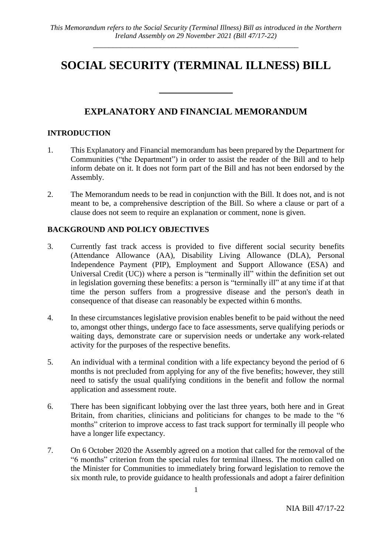# **SOCIAL SECURITY (TERMINAL ILLNESS) BILL**

# **EXPLANATORY AND FINANCIAL MEMORANDUM**

 $\overline{\phantom{a}}$  , where  $\overline{\phantom{a}}$ 

#### **INTRODUCTION**

- 1. This Explanatory and Financial memorandum has been prepared by the Department for Communities ("the Department") in order to assist the reader of the Bill and to help inform debate on it. It does not form part of the Bill and has not been endorsed by the Assembly.
- 2. The Memorandum needs to be read in conjunction with the Bill. It does not, and is not meant to be, a comprehensive description of the Bill. So where a clause or part of a clause does not seem to require an explanation or comment, none is given.

#### **BACKGROUND AND POLICY OBJECTIVES**

- 3. Currently fast track access is provided to five different social security benefits (Attendance Allowance (AA), Disability Living Allowance (DLA), Personal Independence Payment (PIP), Employment and Support Allowance (ESA) and Universal Credit (UC)) where a person is "terminally ill" within the definition set out in legislation governing these benefits: a person is "terminally ill" at any time if at that time the person suffers from a progressive disease and the person's death in consequence of that disease can reasonably be expected within 6 months.
- 4. In these circumstances legislative provision enables benefit to be paid without the need to, amongst other things, undergo face to face assessments, serve qualifying periods or waiting days, demonstrate care or supervision needs or undertake any work-related activity for the purposes of the respective benefits.
- 5. An individual with a terminal condition with a life expectancy beyond the period of 6 months is not precluded from applying for any of the five benefits; however, they still need to satisfy the usual qualifying conditions in the benefit and follow the normal application and assessment route.
- 6. There has been significant lobbying over the last three years, both here and in Great Britain, from charities, clinicians and politicians for changes to be made to the "6 months" criterion to improve access to fast track support for terminally ill people who have a longer life expectancy.
- 7. On 6 October 2020 the Assembly agreed on a motion that called for the removal of the "6 months" criterion from the special rules for terminal illness. The motion called on the Minister for Communities to immediately bring forward legislation to remove the six month rule, to provide guidance to health professionals and adopt a fairer definition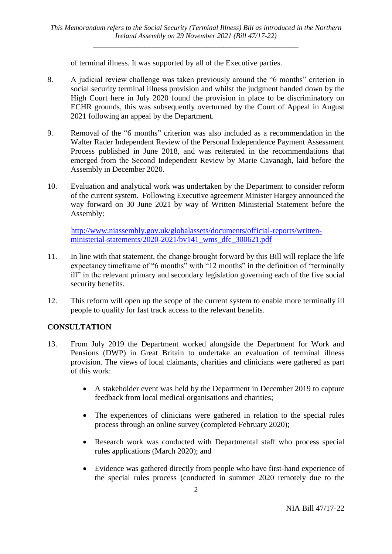of terminal illness. It was supported by all of the Executive parties.

- 8. A judicial review challenge was taken previously around the "6 months" criterion in social security terminal illness provision and whilst the judgment handed down by the High Court here in July 2020 found the provision in place to be discriminatory on ECHR grounds, this was subsequently overturned by the Court of Appeal in August 2021 following an appeal by the Department.
- 9. Removal of the "6 months" criterion was also included as a recommendation in the Walter Rader Independent Review of the Personal Independence Payment Assessment Process published in June 2018, and was reiterated in the recommendations that emerged from the Second Independent Review by Marie Cavanagh, laid before the Assembly in December 2020.
- 10. Evaluation and analytical work was undertaken by the Department to consider reform of the current system. Following Executive agreement Minister Hargey announced the way forward on 30 June 2021 by way of Written Ministerial Statement before the Assembly:

[http://www.niassembly.gov.uk/globalassets/documents/official-reports/written](http://www.niassembly.gov.uk/globalassets/documents/official-reports/written-ministerial-statements/2020-2021/bv141_wms_dfc_300621.pdf)[ministerial-statements/2020-2021/bv141\\_wms\\_dfc\\_300621.pdf](http://www.niassembly.gov.uk/globalassets/documents/official-reports/written-ministerial-statements/2020-2021/bv141_wms_dfc_300621.pdf)

- 11. In line with that statement, the change brought forward by this Bill will replace the life expectancy timeframe of "6 months" with "12 months" in the definition of "terminally ill" in the relevant primary and secondary legislation governing each of the five social security benefits.
- 12. This reform will open up the scope of the current system to enable more terminally ill people to qualify for fast track access to the relevant benefits.

# **CONSULTATION**

- 13. From July 2019 the Department worked alongside the Department for Work and Pensions (DWP) in Great Britain to undertake an evaluation of terminal illness provision. The views of local claimants, charities and clinicians were gathered as part of this work:
	- A stakeholder event was held by the Department in December 2019 to capture feedback from local medical organisations and charities;
	- The experiences of clinicians were gathered in relation to the special rules process through an online survey (completed February 2020);
	- Research work was conducted with Departmental staff who process special rules applications (March 2020); and
	- Evidence was gathered directly from people who have first-hand experience of the special rules process (conducted in summer 2020 remotely due to the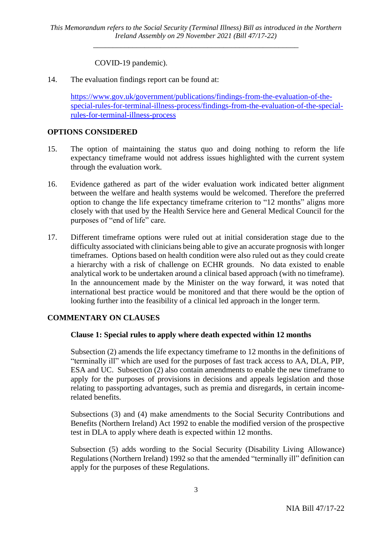# COVID-19 pandemic).

14. The evaluation findings report can be found at:

[https://www.gov.uk/government/publications/findings-from-the-evaluation-of-the](https://www.gov.uk/government/publications/findings-from-the-evaluation-of-the-special-rules-for-terminal-illness-process/findings-from-the-evaluation-of-the-special-rules-for-terminal-illness-process)[special-rules-for-terminal-illness-process/findings-from-the-evaluation-of-the-special](https://www.gov.uk/government/publications/findings-from-the-evaluation-of-the-special-rules-for-terminal-illness-process/findings-from-the-evaluation-of-the-special-rules-for-terminal-illness-process)[rules-for-terminal-illness-process](https://www.gov.uk/government/publications/findings-from-the-evaluation-of-the-special-rules-for-terminal-illness-process/findings-from-the-evaluation-of-the-special-rules-for-terminal-illness-process)

#### **OPTIONS CONSIDERED**

- 15. The option of maintaining the status quo and doing nothing to reform the life expectancy timeframe would not address issues highlighted with the current system through the evaluation work.
- 16. Evidence gathered as part of the wider evaluation work indicated better alignment between the welfare and health systems would be welcomed. Therefore the preferred option to change the life expectancy timeframe criterion to "12 months" aligns more closely with that used by the Health Service here and General Medical Council for the purposes of "end of life" care.
- 17. Different timeframe options were ruled out at initial consideration stage due to the difficulty associated with clinicians being able to give an accurate prognosis with longer timeframes. Options based on health condition were also ruled out as they could create a hierarchy with a risk of challenge on ECHR grounds. No data existed to enable analytical work to be undertaken around a clinical based approach (with no timeframe). In the announcement made by the Minister on the way forward, it was noted that international best practice would be monitored and that there would be the option of looking further into the feasibility of a clinical led approach in the longer term.

# **COMMENTARY ON CLAUSES**

# **Clause 1: Special rules to apply where death expected within 12 months**

Subsection (2) amends the life expectancy timeframe to 12 months in the definitions of "terminally ill" which are used for the purposes of fast track access to AA, DLA, PIP, ESA and UC. Subsection (2) also contain amendments to enable the new timeframe to apply for the purposes of provisions in decisions and appeals legislation and those relating to passporting advantages, such as premia and disregards, in certain incomerelated benefits.

Subsections (3) and (4) make amendments to the Social Security Contributions and Benefits (Northern Ireland) Act 1992 to enable the modified version of the prospective test in DLA to apply where death is expected within 12 months.

Subsection (5) adds wording to the Social Security (Disability Living Allowance) Regulations (Northern Ireland) 1992 so that the amended "terminally ill" definition can apply for the purposes of these Regulations.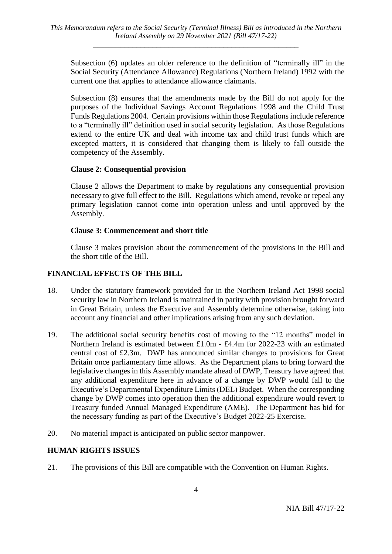Subsection (6) updates an older reference to the definition of "terminally ill" in the Social Security (Attendance Allowance) Regulations (Northern Ireland) 1992 with the current one that applies to attendance allowance claimants.

Subsection (8) ensures that the amendments made by the Bill do not apply for the purposes of the Individual Savings Account Regulations 1998 and the Child Trust Funds Regulations 2004. Certain provisions within those Regulations include reference to a "terminally ill" definition used in social security legislation. As those Regulations extend to the entire UK and deal with income tax and child trust funds which are excepted matters, it is considered that changing them is likely to fall outside the competency of the Assembly.

#### **Clause 2: Consequential provision**

Clause 2 allows the Department to make by regulations any consequential provision necessary to give full effect to the Bill. Regulations which amend, revoke or repeal any primary legislation cannot come into operation unless and until approved by the Assembly.

#### **Clause 3: Commencement and short title**

Clause 3 makes provision about the commencement of the provisions in the Bill and the short title of the Bill.

# **FINANCIAL EFFECTS OF THE BILL**

- 18. Under the statutory framework provided for in the Northern Ireland Act 1998 social security law in Northern Ireland is maintained in parity with provision brought forward in Great Britain, unless the Executive and Assembly determine otherwise, taking into account any financial and other implications arising from any such deviation.
- 19. The additional social security benefits cost of moving to the "12 months" model in Northern Ireland is estimated between £1.0m - £4.4m for 2022-23 with an estimated central cost of £2.3m. DWP has announced similar changes to provisions for Great Britain once parliamentary time allows. As the Department plans to bring forward the legislative changes in this Assembly mandate ahead of DWP, Treasury have agreed that any additional expenditure here in advance of a change by DWP would fall to the Executive's Departmental Expenditure Limits (DEL) Budget. When the corresponding change by DWP comes into operation then the additional expenditure would revert to Treasury funded Annual Managed Expenditure (AME). The Department has bid for the necessary funding as part of the Executive's Budget 2022-25 Exercise.
- 20. No material impact is anticipated on public sector manpower.

# **HUMAN RIGHTS ISSUES**

21. The provisions of this Bill are compatible with the Convention on Human Rights.